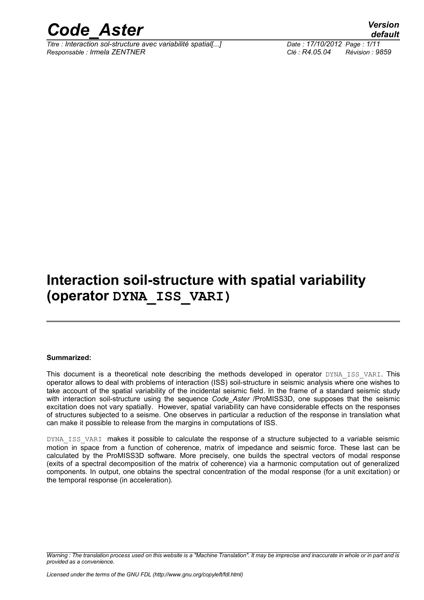

*Titre : Interaction sol-structure avec variabilité spatial[...] Date : 17/10/2012 Page : 1/11 Responsable : Irmela ZENTNER Clé : R4.05.04 Révision : 9859*

*default*

### **Interaction soil-structure with spatial variability (operator DYNA\_ISS\_VARI)**

#### **Summarized:**

This document is a theoretical note describing the methods developed in operator DYNA\_ISS\_VARI. This operator allows to deal with problems of interaction (ISS) soil-structure in seismic analysis where one wishes to take account of the spatial variability of the incidental seismic field. In the frame of a standard seismic study with interaction soil-structure using the sequence *Code\_Aster* /ProMISS3D, one supposes that the seismic excitation does not vary spatially. However, spatial variability can have considerable effects on the responses of structures subjected to a seisme. One observes in particular a reduction of the response in translation what can make it possible to release from the margins in computations of ISS.

DYNA ISS VARI makes it possible to calculate the response of a structure subjected to a variable seismic motion in space from a function of coherence, matrix of impedance and seismic force. These last can be calculated by the ProMISS3D software. More precisely, one builds the spectral vectors of modal response (exits of a spectral decomposition of the matrix of coherence) via a harmonic computation out of generalized components. In output, one obtains the spectral concentration of the modal response (for a unit excitation) or the temporal response (in acceleration).

*Warning : The translation process used on this website is a "Machine Translation". It may be imprecise and inaccurate in whole or in part and is provided as a convenience.*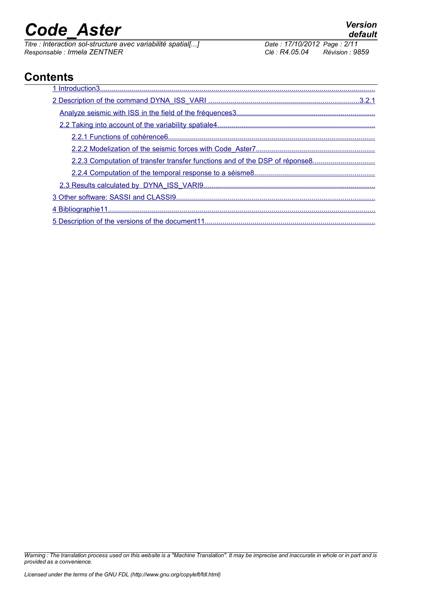*Titre : Interaction sol-structure avec variabilité spatial[...] Date : 17/10/2012 Date : 17/10/2012 Page : 17/10/2012 Responsable : Irmela ZENTNER Clé : R4.05.04 Révision : 9859*

### **Contents**

| 2.2.3 Computation of transfer transfer functions and of the DSP of réponse8 |
|-----------------------------------------------------------------------------|
|                                                                             |
|                                                                             |
|                                                                             |
|                                                                             |
|                                                                             |

*Warning : The translation process used on this website is a "Machine Translation". It may be imprecise and inaccurate in whole or in part and is provided as a convenience.*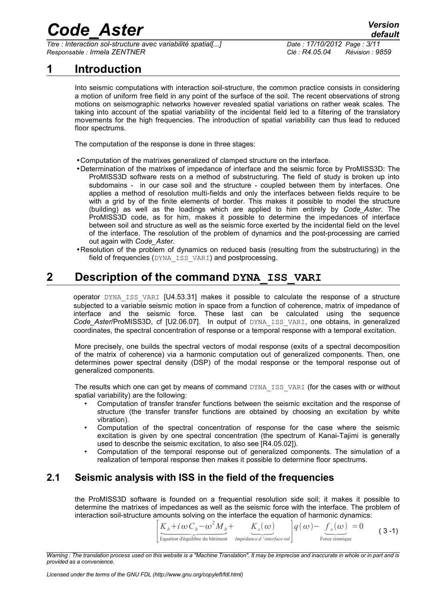*Titre : Interaction sol-structure avec variabilité spatial[...] Date : 17/10/2012 Page : 3/11 Responsable : Irmela ZENTNER Clé : R4.05.04 Révision : 9859*

### **1 Introduction**

<span id="page-2-0"></span>Into seismic computations with interaction soil-structure, the common practice consists in considering a motion of uniform free field in any point of the surface of the soil. The recent observations of strong motions on seismographic networks however revealed spatial variations on rather weak scales. The taking into account of the spatial variability of the incidental field led to a filtering of the translatory movements for the high frequencies. The introduction of spatial variability can thus lead to reduced floor spectrums.

The computation of the response is done in three stages:

- •Computation of the matrixes generalized of clamped structure on the interface.
- •Determination of the matrixes of impedance of interface and the seismic force by ProMISS3D: The ProMISS3D software rests on a method of substructuring. The field of study is broken up into subdomains - in our case soil and the structure - coupled between them by interfaces. One applies a method of resolution multi-fields and only the interfaces between fields require to be with a grid by of the finite elements of border. This makes it possible to model the structure (building) as well as the loadings which are applied to him entirely by *Code\_Aster*. The ProMISS3D code, as for him, makes it possible to determine the impedances of interface between soil and structure as well as the seismic force exerted by the incidental field on the level of the interface. The resolution of the problem of dynamics and the post-processing are carried out again with *Code\_Aster*.
- •Resolution of the problem of dynamics on reduced basis (resulting from the substructuring) in the field of frequencies (DYNA\_ISS\_VARI) and postprocessing.

### **2 Description of the command DYNA\_ISS\_VARI**

<span id="page-2-2"></span>operator DYNA ISS VARI [U4.53.31] makes it possible to calculate the response of a structure subjected to a variable seismic motion in space from a function of coherence, matrix of impedance of interface and the seismic force. These last can be calculated using the sequence Code Aster/ProMISS3D, cf [U2.06.07]. In output of DYNA\_ISS\_VARI, one obtains, in generalized coordinates, the spectral concentration of response or a temporal response with a temporal excitation.

More precisely, one builds the spectral vectors of modal response (exits of a spectral decomposition of the matrix of coherence) via a harmonic computation out of generalized components. Then, one determines power spectral density (DSP) of the modal response or the temporal response out of generalized components.

The results which one can get by means of command DYNA\_ISS\_VARI (for the cases with or without spatial variability) are the following:

- Computation of transfer transfer functions between the seismic excitation and the response of structure (the transfer transfer functions are obtained by choosing an excitation by white vibration).
- Computation of the spectral concentration of response for the case where the seismic excitation is given by one spectral concentration (the spectrum of Kanai-Tajimi is generally used to describe the seismic excitation, to also see [R4.05.02]).
- Computation of the temporal response out of generalized components. The simulation of a realization of temporal response then makes it possible to determine floor spectrums.

### **2.1 Seismic analysis with ISS in the field of the frequencies**

<span id="page-2-1"></span>the ProMISS3D software is founded on a frequential resolution side soil; it makes it possible to determine the matrixes of impedances as well as the seismic force with the interface. The problem of interaction soil-structure amounts solving on the interface the equation of harmonic dynamics: is founded on a frequential resolution side<br>
impedances as well as the seismic force wire nounts solving on the interface the equation<br>  $K_b + i \omega C_b - \omega^2 M_b + K_s(\omega)$ <br>
Equation d'équilibre du bâtiment *Impédance d'interface sol* 

 $\frac{1}{E}$  $K_b + i\omega C_b - \omega$ *q*(ω)− *f*  $f_s(\omega)$ <br>Force sismique  $=0$  $(3 - 1)$  $(3 - 1)$  $(3 - 1)$ 

*Warning : The translation process used on this website is a "Machine Translation". It may be imprecise and inaccurate in whole or in part and is provided as a convenience.*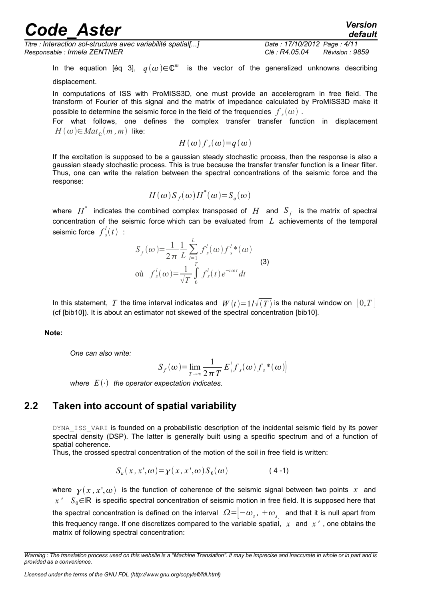*Titre : Interaction sol-structure avec variabilité spatial[...] Date : 17/10/2012 Page : 4/11 Responsable : Irmela ZENTNER Clé : R4.05.04 Révision : 9859*

In the equation [éq [3\]](#page-2-1),  $q(\omega) \in \mathbb{C}^m$  is the vector of the generalized unknowns describing

displacement.

In computations of ISS with ProMISS3D, one must provide an accelerogram in free field. The transform of Fourier of this signal and the matrix of impedance calculated by ProMISS3D make it possible to determine the seismic force in the field of the frequencies  $\left. f_{s}(\omega)\right. .$ 

For what follows, one defines the complex transfer transfer function in displacement  $H(\omega) \in Mat_{\mathbb{C}}(m, m)$  like:

$$
H(\omega) f_s(\omega) = q(\omega)
$$

If the excitation is supposed to be a gaussian steady stochastic process, then the response is also a gaussian steady stochastic process. This is true because the transfer transfer function is a linear filter. Thus, one can write the relation between the spectral concentrations of the seismic force and the response:

$$
H(\omega)S_f(\omega)H^*(\omega)=S_g(\omega)
$$

where  $H^*$  indicates the combined complex transposed of  $H$  and  $S_f$  is the matrix of spectral concentration of the seismic force which can be evaluated from *L* achievements of the temporal seismic force *f s*  $\frac{l}{s}(t)$  :

$$
S_f(\omega) = \frac{1}{2\pi} \frac{1}{L} \sum_{l=1}^{L} f'_s(\omega) f'_s^l(\omega)
$$
  
ou  $f'_s(\omega) = \frac{1}{\sqrt{T}} \int_0^T f'_s(t) e^{-i\omega t} dt$  (3)

In this statement, *T* the time interval indicates and  $W(t)=1/\sqrt{(T)}$  is the natural window on  $[0,T]$ (cf [bib10]). It is about an estimator not skewed of the spectral concentration [bib10].

**Note:**

*One can also write:*

$$
S_f(\omega) = \lim_{T \to \infty} \frac{1}{2\pi T} E[f_s(\omega) f_s^*(\omega)]
$$

*where*  $E(\cdot)$  the operator expectation indicates.

### **2.2 Taken into account of spatial variability**

<span id="page-3-0"></span>DYNA ISS VARI is founded on a probabilistic description of the incidental seismic field by its power spectral density (DSP). The latter is generally built using a specific spectrum and of a function of spatial coherence.

Thus, the crossed spectral concentration of the motion of the soil in free field is written:

$$
S_u(x, x', \omega) = \gamma(x, x', \omega) S_0(\omega) \tag{4-1}
$$

where  $\gamma(x, x', \omega)$  is the function of coherence of the seismic signal between two points x and *x* ' *S*<sub>0</sub>∈ℝ is specific spectral concentration of seismic motion in free field. It is supposed here that the spectral concentration is defined on the interval  $|\Omega=]-\omega_{_S}$ ,  $+\omega_{_S}^-|$  and that it is null apart from this frequency range. If one discretizes compared to the variable spatial, *x* and *x '* , one obtains the matrix of following spectral concentration:

*Warning : The translation process used on this website is a "Machine Translation". It may be imprecise and inaccurate in whole or in part and is provided as a convenience.*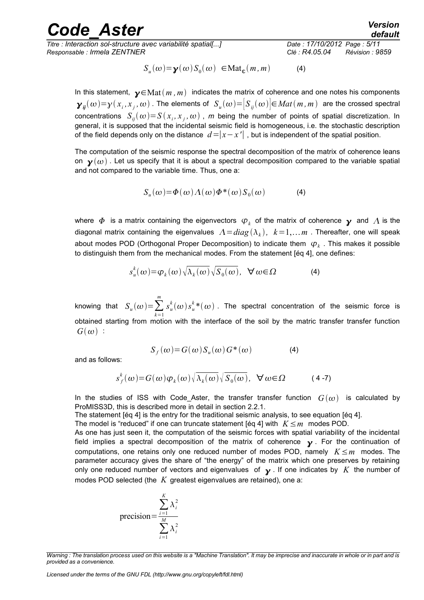*Titre : Interaction sol-structure avec variabilité spatial[...] Date : 17/10/2012 Page : 5/11 Responsable : Irmela ZENTNER Clé : R4.05.04 Révision : 9859*

*default*

*[\(4\)](#page-3-0)* 

$$
S_u(\omega) = \mathbf{y}(\omega) S_0(\omega) \in \text{Mat}_{\mathbb{C}}(m, m)
$$

In this statement,  $\mathbf{y} \in \text{Mat}(m, m)$  indicates the matrix of coherence and one notes his components  $\bm y_{ij}(\omega) {=} \gamma(x_i,x_j,\omega)$  . The elements of  $|S_u(\omega)| {=} |S_{ij}(\omega)|$ ∈ $Mat(m,m)$  are the crossed spectral concentrations  $S_{ij}(\omega)$ = $S(x_i, x_j, \omega)$  ,  $m$  being the number of points of spatial discretization. In general, it is supposed that the incidental seismic field is homogeneous, i.e. the stochastic description of the field depends only on the distance  $d=|x-x'|$ , but is independent of the spatial position.

The computation of the seismic response the spectral decomposition of the matrix of coherence leans on  $\mathbf{y}(\omega)$ . Let us specify that it is about a spectral decomposition compared to the variable spatial and not compared to the variable time. Thus, one a:

$$
S_u(\omega) = \Phi(\omega) \Lambda(\omega) \Phi^*(\omega) S_0(\omega) \tag{4}
$$

where  $\,\varPhi\,$  is a matrix containing the eigenvectors  $\,\varphi_{_k}\,$  of the matrix of coherence  $\,\boldsymbol{_{\mathcal{Y}}}\,$  and  $\,\varLambda$  is the diagonal matrix containing the eigenvalues  $A\!=\!diag\left(\lambda_{\,k}\right)$ ,  $\;k\!=\!1,\ldots m$  . Thereafter, one will speak about modes POD (Orthogonal Proper Decomposition) to indicate them  $\ket{\varphi_k}$  . This makes it possible to distinguish them from the mechanical modes. From the statement [éq [4\]](#page-3-0), one defines:

$$
s_u^k(\omega) = \varphi_k(\omega) \sqrt{\lambda_k(\omega)} \sqrt{S_0(\omega)}, \quad \forall \omega \in \Omega \tag{4}
$$

knowing that  $S_u(\omega) = \sum_{k=1}$ *m*  $s_u^k(\omega) s_u^{k\,*}(\omega)$  . The spectral concentration of the seismic force is obtained starting from motion with the interface of the soil by the matric transfer transfer function  $G(\omega)$ :

$$
S_f(\omega) = G(\omega) S_u(\omega) G^*(\omega)
$$
 (4)

and as follows:

$$
s_f^k(\omega) = G(\omega)\varphi_k(\omega)\sqrt{\lambda_k(\omega)}\sqrt{S_0(\omega)}, \quad \forall \omega \in \Omega \tag{4-7}
$$

In the studies of ISS with Code Aster, the transfer transfer function  $G(\omega)$  is calculated by ProMISS3D, this is described more in detail in section 2.2.1.

The statement [éq [4\]](#page-3-0) is the entry for the traditional seismic analysis, to see equation [éq [4\]](#page-3-0).

The model is "reduced" if one can truncate statement [éq [4\]](#page-3-0) with *K*≤*m* modes POD.

As one has just seen it, the computation of the seismic forces with spatial variability of the incidental field implies a spectral decomposition of the matrix of coherence  $\gamma$ . For the continuation of computations, one retains only one reduced number of modes POD, namely *K*≤*m* modes. The parameter accuracy gives the share of "the energy" of the matrix which one preserves by retaining only one reduced number of vectors and eigenvalues of  $\gamma$ . If one indicates by K the number of modes POD selected (the *K* greatest eigenvalues are retained), one a:

precision=
$$
\frac{\sum_{i=1}^{K} \lambda_i^2}{\sum_{i=1}^{M} \lambda_i^2}
$$

*Licensed under the terms of the GNU FDL (http://www.gnu.org/copyleft/fdl.html)*

*Warning : The translation process used on this website is a "Machine Translation". It may be imprecise and inaccurate in whole or in part and is provided as a convenience.*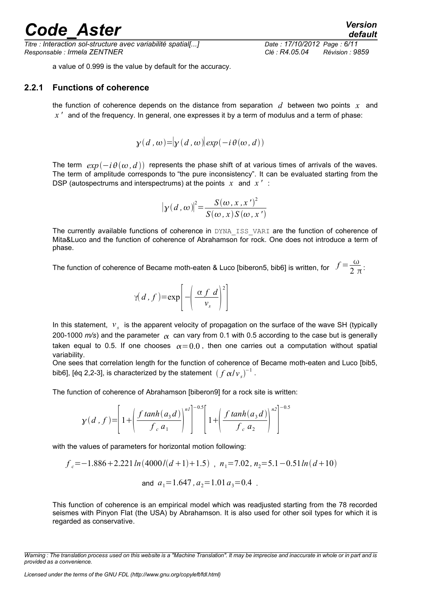*Titre : Interaction sol-structure avec variabilité spatial[...] Date : 17/10/2012 Page : 6/11 Responsable : Irmela ZENTNER Clé : R4.05.04 Révision : 9859*

a value of 0.999 is the value by default for the accuracy.

#### **2.2.1 Functions of coherence**

<span id="page-5-0"></span>the function of coherence depends on the distance from separation *d* between two points *x* and *x '* and of the frequency. In general, one expresses it by a term of modulus and a term of phase:

$$
\gamma(d, \omega) = |\gamma(d, \omega)| \exp(-i\theta(\omega, d))
$$

The term  $exp(-i\theta(\omega, d))$  represents the phase shift of at various times of arrivals of the waves. The term of amplitude corresponds to "the pure inconsistency". It can be evaluated starting from the DSP (autospectrums and interspectrums) at the points *x* and *x '* :

$$
|\gamma(d,\omega)|^2 = \frac{S(\omega, x, x')^2}{S(\omega, x)S(\omega, x')}
$$

The currently available functions of coherence in DYNA\_ISS\_VARI are the function of coherence of Mita&Luco and the function of coherence of Abrahamson for rock. One does not introduce a term of phase.

The function of coherence of Became moth-eaten & Luco [biberon5, bib6] is written, for  $\|f\|$   $\frac{\omega}{2|\pi|}$ :

$$
\gamma(d, f) = \exp\left[-\left(\frac{\alpha f \ d}{v_s}\right)^2\right]
$$

In this statement,  $v_s$  is the apparent velocity of propagation on the surface of the wave SH (typically 200-1000  $m/s$ ) and the parameter  $\alpha$  can vary from 0.1 with 0.5 according to the case but is generally taken equal to 0.5. If one chooses  $\alpha = 0.0$ , then one carries out a computation without spatial variability.

One sees that correlation length for the function of coherence of Became moth-eaten and Luco [bib5, bib6], [éq 2,2-3], is characterized by the statement  $\left(\left. f\,\alpha /v_{_S}\right)^{-1}\right.$ 

The function of coherence of Abrahamson [biberon9] for a rock site is written:

$$
\gamma(d, f) = \left[1 + \left(\frac{f \tanh(a_3 d)}{f_c a_1}\right)^{n/2}\right]^{-0.5} \left[1 + \left(\frac{f \tanh(a_3 d)}{f_c a_2}\right)^{n/2}\right]^{-0.5}
$$

with the values of parameters for horizontal motion following:

$$
f_c = -1.886 + 2.221 \ln(4000/(d+1) + 1.5) , n_1 = 7.02, n_2 = 5.1 - 0.51 \ln(d+10)
$$
  
and  $a_1 = 1.647, a_2 = 1.01 a_3 = 0.4$ .

This function of coherence is an empirical model which was readjusted starting from the 78 recorded seismes with Pinyon Flat (the USA) by Abrahamson. It is also used for other soil types for which it is regarded as conservative.

*Warning : The translation process used on this website is a "Machine Translation". It may be imprecise and inaccurate in whole or in part and is provided as a convenience.*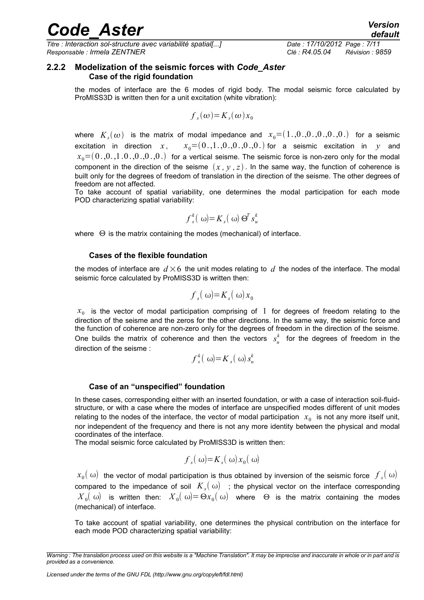*Titre : Interaction sol-structure avec variabilité spatial[...] Date : 17/10/2012 Page : 7/11 Responsable : Irmela ZENTNER Clé : R4.05.04 Révision : 9859*

# *default*

#### **2.2.2 Modelization of the seismic forces with** *Code\_Aster* **Case of the rigid foundation**

<span id="page-6-0"></span>the modes of interface are the 6 modes of rigid body. The modal seismic force calculated by ProMISS3D is written then for a unit excitation (white vibration):

$$
f_s(\omega) = K_s(\omega) x_0
$$

where  $\ K_s(\omega)$  is the matrix of modal impedance and  $\ x_0{=}(1.,\!0.,\!0.,\!0.,\!0.,\!)$  for a seismic excitation in direction  $x$ ,  $x_0=(0,1,0,0,0,0,0)$  for a seismic excitation in  $y$  and  $x_0 = (0_0, 0_0, 1_0, 0_0, 0_0, 0_0)$  for a vertical seisme. The seismic force is non-zero only for the modal component in the direction of the seisme  $(x, y, z)$ . In the same way, the function of coherence is built only for the degrees of freedom of translation in the direction of the seisme. The other degrees of freedom are not affected.

To take account of spatial variability, one determines the modal participation for each mode POD characterizing spatial variability:

$$
f_s^k(\omega) = K_s(\omega) \Theta^T s_u^k
$$

where  $\Theta$  is the matrix containing the modes (mechanical) of interface.

#### **Cases of the flexible foundation**

the modes of interface are  $d \times 6$  the unit modes relating to  $d$  the nodes of the interface. The modal seismic force calculated by ProMISS3D is written then:

$$
f_{s}(\omega) = K_{s}(\omega) x_{0}
$$

 $x<sub>0</sub>$  is the vector of modal participation comprising of 1 for degrees of freedom relating to the direction of the seisme and the zeros for the other directions. In the same way, the seismic force and the function of coherence are non-zero only for the degrees of freedom in the direction of the seisme. One builds the matrix of coherence and then the vectors  $s_u^k$  for the degrees of freedom in the direction of the seisme :

$$
f_s^k(\omega) = K_s(\omega) s_u^k
$$

#### **Case of an "unspecified" foundation**

In these cases, corresponding either with an inserted foundation, or with a case of interaction soil-fluidstructure, or with a case where the modes of interface are unspecified modes different of unit modes relating to the nodes of the interface, the vector of modal participation  $\|x_0\|$  is not any more itself unit, nor independent of the frequency and there is not any more identity between the physical and modal coordinates of the interface.

The modal seismic force calculated by ProMISS3D is written then:

$$
f_s(\omega) = K_s(\omega) x_0(\omega)
$$

 $x_0($  ω) the vector of modal participation is thus obtained by inversion of the seismic force  $\int_s(\omega)$ compared to the impedance of soil  $\,K_{_S}\!(\:\omega)\:$  ; the physical vector on the interface corresponding  ${X}_0(\omega)$  is written then:  ${X}_0(\omega){=}\,\Theta{x}_0(\,\omega)$  where  $\,\Theta$  is the matrix containing the modes (mechanical) of interface.

To take account of spatial variability, one determines the physical contribution on the interface for each mode POD characterizing spatial variability:

*Warning : The translation process used on this website is a "Machine Translation". It may be imprecise and inaccurate in whole or in part and is provided as a convenience.*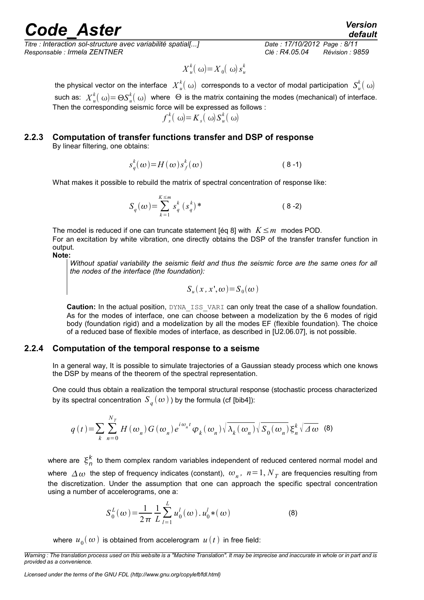*Titre : Interaction sol-structure avec variabilité spatial[...] Date : 17/10/2012 Page : 8/11 Responsable : Irmela ZENTNER Clé : R4.05.04 Révision : 9859*

$$
X_u^k(\omega) = X_0(\omega) s_u^k
$$

the physical vector on the interface  $\ X_u^k(\ \omega)$  corresponds to a vector of modal participation  $\ S_u^k(\ \omega)$ such as:  $X_u^k(\omega)$ = Θ $S_u^k(\omega)$  where  $\;\Theta$  is the matrix containing the modes (mechanical) of interface. Then the corresponding seismic force will be expressed as follows :

$$
f_s^k(\omega) = K_s(\omega) S_u^k(\omega)
$$

#### <span id="page-7-1"></span>**2.2.3 Computation of transfer functions transfer and DSP of response** By linear filtering, one obtains:

$$
s_q^k(\omega) = H(\omega) s_f^k(\omega) \tag{8-1}
$$

What makes it possible to rebuild the matrix of spectral concentration of response like:

$$
S_q(\omega) = \sum_{k=1}^{K \le m} s_q^k \left( s_q^k \right) \tag{8-2}
$$

The model is reduced if one can truncate statement [éq [8\]](#page-7-1) with *K*≤*m* modes POD. For an excitation by white vibration, one directly obtains the DSP of the transfer transfer function in output.

#### **Note:**

*Without spatial variability the seismic field and thus the seismic force are the same ones for all the nodes of the interface (the foundation):*

$$
S_u(x, x', \omega) = S_0(\omega)
$$

**Caution:** In the actual position, DYNA\_ISS\_VARI can only treat the case of a shallow foundation. As for the modes of interface, one can choose between a modelization by the 6 modes of rigid body (foundation rigid) and a modelization by all the modes EF (flexible foundation). The choice of a reduced base of flexible modes of interface, as described in [U2.06.07], is not possible.

#### **2.2.4 Computation of the temporal response to a seisme**

<span id="page-7-0"></span>In a general way, It is possible to simulate trajectories of a Gaussian steady process which one knows the DSP by means of the theorem of the spectral representation.

One could thus obtain a realization the temporal structural response (stochastic process characterized by its spectral concentration  $\,S_{\,q}^{\,}(\,\omega\,)$  ) by the formula (cf [bib4]):

$$
q(t) = \sum_{k} \sum_{n=0}^{N_T} H(\omega_n) G(\omega_n) e^{i\omega_n t} \varphi_k(\omega_n) \sqrt{\lambda_k(\omega_n)} \sqrt{S_0(\omega_n)} \xi_n^k \sqrt{\Delta \omega}
$$
 (8)

where are  $\,\xi^k_n\,$  to them complex random variables independent of reduced centered normal model and where  $\,\Delta\,\omega\,$  the step of frequency indicates (constant),  $\,\omega_{_{n}}^{}$ ,  $\,n\!=\!1, N_{\,T}^{}\,$  are frequencies resulting from the discretization. Under the assumption that one can approach the specific spectral concentration using a number of accelerograms, one a:

$$
S_0^L(\omega) = \frac{1}{2\pi} \frac{1}{L} \sum_{l=1}^L u_0^l(\omega) \, . \, u_0^l \ast(\omega) \tag{8}
$$

where  $\,u_{\,0}^{\,}(\,\omega\,)$  is obtained from accelerogram  $\,u\,(\,t\,)\,$  in free field:

*Warning : The translation process used on this website is a "Machine Translation". It may be imprecise and inaccurate in whole or in part and is provided as a convenience.*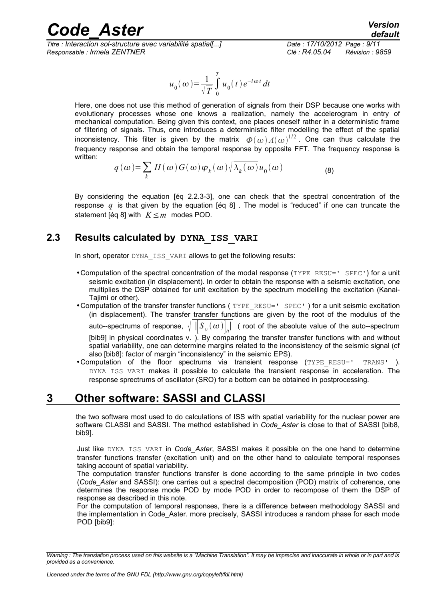*Titre : Interaction sol-structure avec variabilité spatial[...] Date : 17/10/2012 Page : 9/11 Responsable : Irmela ZENTNER Clé : R4.05.04 Révision : 9859*

$$
u_0(\omega) = \frac{1}{\sqrt{T}} \int_0^T u_0(t) e^{-i\omega t} dt
$$

Here, one does not use this method of generation of signals from their DSP because one works with evolutionary processes whose one knows a realization, namely the accelerogram in entry of mechanical computation. Being given this context, one places oneself rather in a deterministic frame of filtering of signals. Thus, one introduces a deterministic filter modelling the effect of the spatial inconsistency. This filter is given by the matrix  $\ket{\varPhi(\omega) A(\omega)}^{1/2}$ . One can thus calculate the frequency response and obtain the temporal response by opposite FFT. The frequency response is written:

$$
q(\omega) = \sum_{k} H(\omega) G(\omega) \varphi_{k}(\omega) \sqrt{\lambda_{k}(\omega)} u_{0}(\omega)
$$
 (8)

By considering the equation [éq 2.2.3-3], one can check that the spectral concentration of the response  $q$  is that given by the equation [éq [8\]](#page-7-1). The model is "reduced" if one can truncate the statement [éq [8\]](#page-7-1) with *K*≤*m* modes POD.

### **2.3 Results calculated by DYNA\_ISS\_VARI**

<span id="page-8-1"></span>In short, operator DYNA\_ISS\_VARI allows to get the following results:

- •Computation of the spectral concentration of the modal response (TYPE\_RESU=' SPEC') for a unit seismic excitation (in displacement). In order to obtain the response with a seismic excitation, one multiplies the DSP obtained for unit excitation by the spectrum modelling the excitation (Kanai-Tajimi or other).
- •Computation of the transfer transfer functions ( $TYPE$  RESU=' SPEC') for a unit seismic excitation (in displacement). The transfer transfer functions are given by the root of the modulus of the auto--spectrums of response, √  $(\omega)\big|_{\vec{u}}|$  ( root of the absolute value of the auto--spectrum [bib9] in physical coordinates v. ). By comparing the transfer transfer functions with and without spatial variability, one can determine margins related to the inconsistency of the seismic signal (cf also [bib8]: factor of margin "inconsistency" in the seismic EPS).
- •Computation of the floor spectrums via transient response (TYPE\_RESU=' TRANS' ). DYNA ISS VARI makes it possible to calculate the transient response in acceleration. The response sprectrums of oscillator (SRO) for a bottom can be obtained in postprocessing.

### **3 Other software: SASSI and CLASSI**

<span id="page-8-0"></span>the two software most used to do calculations of ISS with spatial variability for the nuclear power are software CLASSI and SASSI. The method established in *Code\_Aster* is close to that of SASSI [bib8, bib9].

Just like DYNA\_ISS\_VARI in *Code\_Aster*, SASSI makes it possible on the one hand to determine transfer functions transfer (excitation unit) and on the other hand to calculate temporal responses taking account of spatial variability.

The computation transfer functions transfer is done according to the same principle in two codes (*Code\_Aster* and SASSI): one carries out a spectral decomposition (POD) matrix of coherence, one determines the response mode POD by mode POD in order to recompose of them the DSP of response as described in this note.

For the computation of temporal responses, there is a difference between methodology SASSI and the implementation in Code\_Aster. more precisely, SASSI introduces a random phase for each mode POD [bib9]:

*Warning : The translation process used on this website is a "Machine Translation". It may be imprecise and inaccurate in whole or in part and is provided as a convenience.*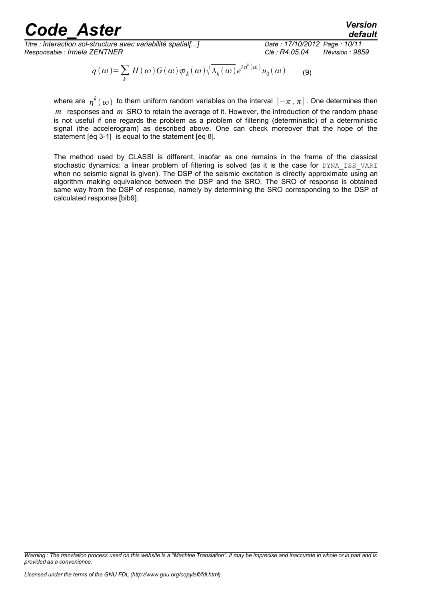*Titre : Interaction sol-structure avec variabilité spatial[...] Date : 17/10/2012 Page : 10/11 Responsable : Irmela ZENTNER Clé : R4.05.04 Révision : 9859*

*default*

$$
q(\omega) = \sum_{k} H(\omega) G(\omega) \varphi_{k}(\omega) \sqrt{\lambda_{k}(\omega)} e^{i \eta^{k}(\omega)} u_{0}(\omega) \qquad (9)
$$

where are  $\:\eta^k(\:\omega)\:$  to them uniform random variables on the interval  $\left[-\pi\, , \pi\right]$  . One determines then *m* responses and *m* SRO to retain the average of it. However, the introduction of the random phase is not useful if one regards the problem as a problem of filtering (deterministic) of a deterministic signal (the accelerogram) as described above. One can check moreover that the hope of the statement [éq 3-1] is equal to the statement [éq [8\]](#page-7-0).

The method used by CLASSI is different, insofar as one remains in the frame of the classical stochastic dynamics: a linear problem of filtering is solved (as it is the case for DYNA\_ISS\_VARI when no seismic signal is given). The DSP of the seismic excitation is directly approximate using an algorithm making equivalence between the DSP and the SRO. The SRO of response is obtained same way from the DSP of response, namely by determining the SRO corresponding to the DSP of calculated response [bib9].

*Warning : The translation process used on this website is a "Machine Translation". It may be imprecise and inaccurate in whole or in part and is provided as a convenience.*